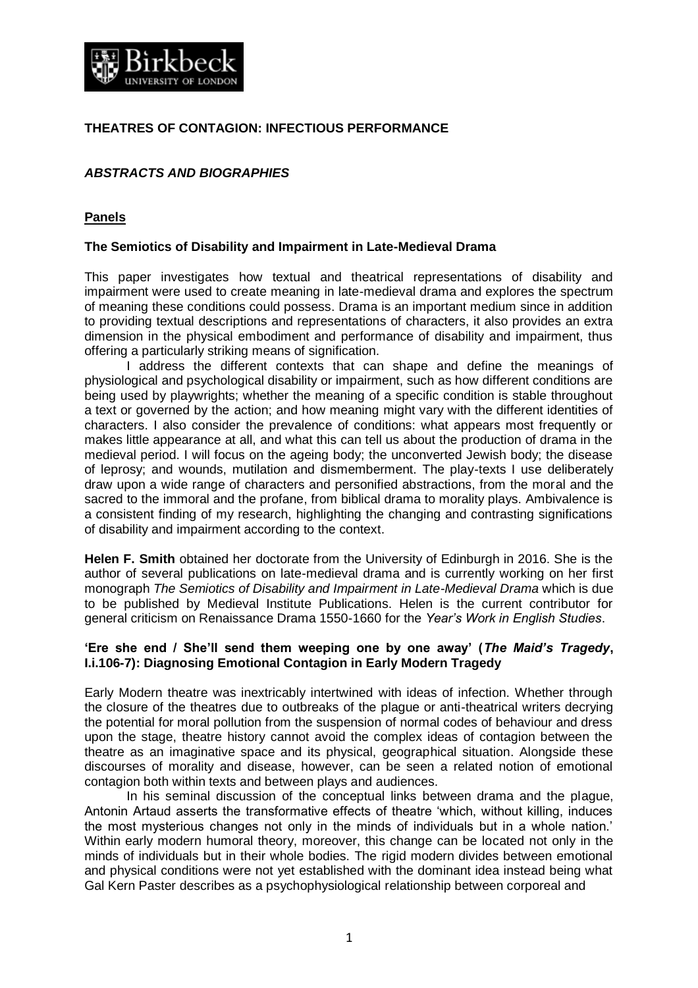

# **THEATRES OF CONTAGION: INFECTIOUS PERFORMANCE**

# *ABSTRACTS AND BIOGRAPHIES*

### **Panels**

#### **The Semiotics of Disability and Impairment in Late-Medieval Drama**

This paper investigates how textual and theatrical representations of disability and impairment were used to create meaning in late-medieval drama and explores the spectrum of meaning these conditions could possess. Drama is an important medium since in addition to providing textual descriptions and representations of characters, it also provides an extra dimension in the physical embodiment and performance of disability and impairment, thus offering a particularly striking means of signification.

I address the different contexts that can shape and define the meanings of physiological and psychological disability or impairment, such as how different conditions are being used by playwrights; whether the meaning of a specific condition is stable throughout a text or governed by the action; and how meaning might vary with the different identities of characters. I also consider the prevalence of conditions: what appears most frequently or makes little appearance at all, and what this can tell us about the production of drama in the medieval period. I will focus on the ageing body; the unconverted Jewish body; the disease of leprosy; and wounds, mutilation and dismemberment. The play-texts I use deliberately draw upon a wide range of characters and personified abstractions, from the moral and the sacred to the immoral and the profane, from biblical drama to morality plays. Ambivalence is a consistent finding of my research, highlighting the changing and contrasting significations of disability and impairment according to the context.

**Helen F. Smith** obtained her doctorate from the University of Edinburgh in 2016. She is the author of several publications on late-medieval drama and is currently working on her first monograph *The Semiotics of Disability and Impairment in Late-Medieval Drama* which is due to be published by Medieval Institute Publications. Helen is the current contributor for general criticism on Renaissance Drama 1550-1660 for the *Year's Work in English Studies*.

### **'Ere she end / She'll send them weeping one by one away' (***The Maid's Tragedy***, I.i.106-7): Diagnosing Emotional Contagion in Early Modern Tragedy**

Early Modern theatre was inextricably intertwined with ideas of infection. Whether through the closure of the theatres due to outbreaks of the plague or anti-theatrical writers decrying the potential for moral pollution from the suspension of normal codes of behaviour and dress upon the stage, theatre history cannot avoid the complex ideas of contagion between the theatre as an imaginative space and its physical, geographical situation. Alongside these discourses of morality and disease, however, can be seen a related notion of emotional contagion both within texts and between plays and audiences.

In his seminal discussion of the conceptual links between drama and the plague, Antonin Artaud asserts the transformative effects of theatre 'which, without killing, induces the most mysterious changes not only in the minds of individuals but in a whole nation.' Within early modern humoral theory, moreover, this change can be located not only in the minds of individuals but in their whole bodies. The rigid modern divides between emotional and physical conditions were not yet established with the dominant idea instead being what Gal Kern Paster describes as a psychophysiological relationship between corporeal and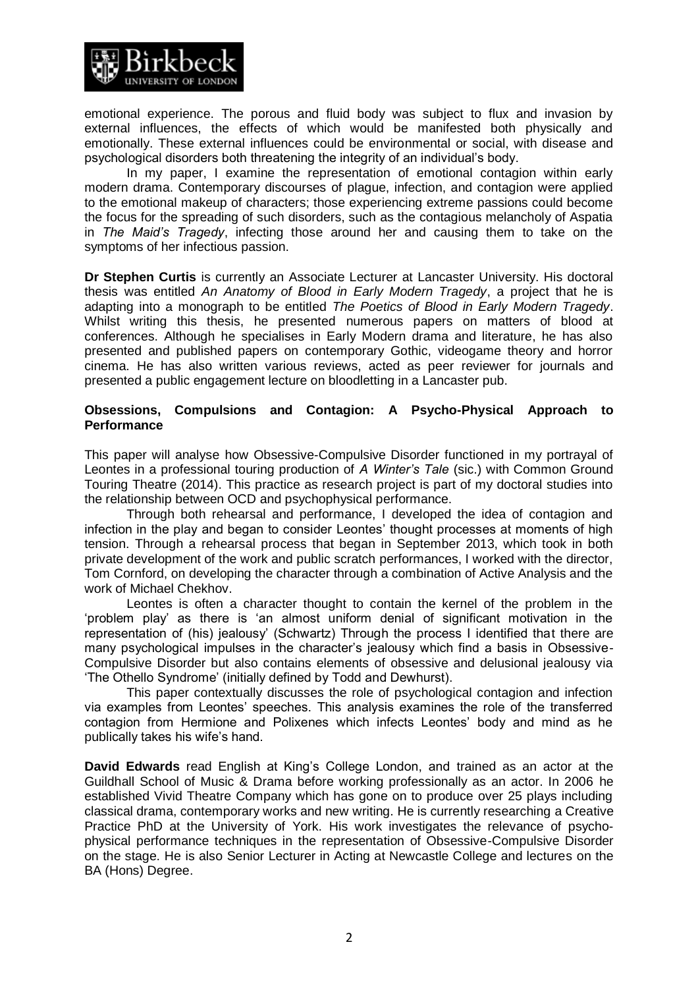

emotional experience. The porous and fluid body was subject to flux and invasion by external influences, the effects of which would be manifested both physically and emotionally. These external influences could be environmental or social, with disease and psychological disorders both threatening the integrity of an individual's body.

In my paper, I examine the representation of emotional contagion within early modern drama. Contemporary discourses of plague, infection, and contagion were applied to the emotional makeup of characters; those experiencing extreme passions could become the focus for the spreading of such disorders, such as the contagious melancholy of Aspatia in *The Maid's Tragedy*, infecting those around her and causing them to take on the symptoms of her infectious passion.

**Dr Stephen Curtis** is currently an Associate Lecturer at Lancaster University. His doctoral thesis was entitled *An Anatomy of Blood in Early Modern Tragedy*, a project that he is adapting into a monograph to be entitled *The Poetics of Blood in Early Modern Tragedy*. Whilst writing this thesis, he presented numerous papers on matters of blood at conferences. Although he specialises in Early Modern drama and literature, he has also presented and published papers on contemporary Gothic, videogame theory and horror cinema. He has also written various reviews, acted as peer reviewer for journals and presented a public engagement lecture on bloodletting in a Lancaster pub.

### **Obsessions, Compulsions and Contagion: A Psycho-Physical Approach to Performance**

This paper will analyse how Obsessive-Compulsive Disorder functioned in my portrayal of Leontes in a professional touring production of *A Winter's Tale* (sic.) with Common Ground Touring Theatre (2014). This practice as research project is part of my doctoral studies into the relationship between OCD and psychophysical performance.

Through both rehearsal and performance, I developed the idea of contagion and infection in the play and began to consider Leontes' thought processes at moments of high tension. Through a rehearsal process that began in September 2013, which took in both private development of the work and public scratch performances, I worked with the director, Tom Cornford, on developing the character through a combination of Active Analysis and the work of Michael Chekhov.

Leontes is often a character thought to contain the kernel of the problem in the 'problem play' as there is 'an almost uniform denial of significant motivation in the representation of (his) jealousy' (Schwartz) Through the process I identified that there are many psychological impulses in the character's jealousy which find a basis in Obsessive-Compulsive Disorder but also contains elements of obsessive and delusional jealousy via 'The Othello Syndrome' (initially defined by Todd and Dewhurst).

This paper contextually discusses the role of psychological contagion and infection via examples from Leontes' speeches. This analysis examines the role of the transferred contagion from Hermione and Polixenes which infects Leontes' body and mind as he publically takes his wife's hand.

**David Edwards** read English at King's College London, and trained as an actor at the Guildhall School of Music & Drama before working professionally as an actor. In 2006 he established Vivid Theatre Company which has gone on to produce over 25 plays including classical drama, contemporary works and new writing. He is currently researching a Creative Practice PhD at the University of York. His work investigates the relevance of psychophysical performance techniques in the representation of Obsessive-Compulsive Disorder on the stage. He is also Senior Lecturer in Acting at Newcastle College and lectures on the BA (Hons) Degree.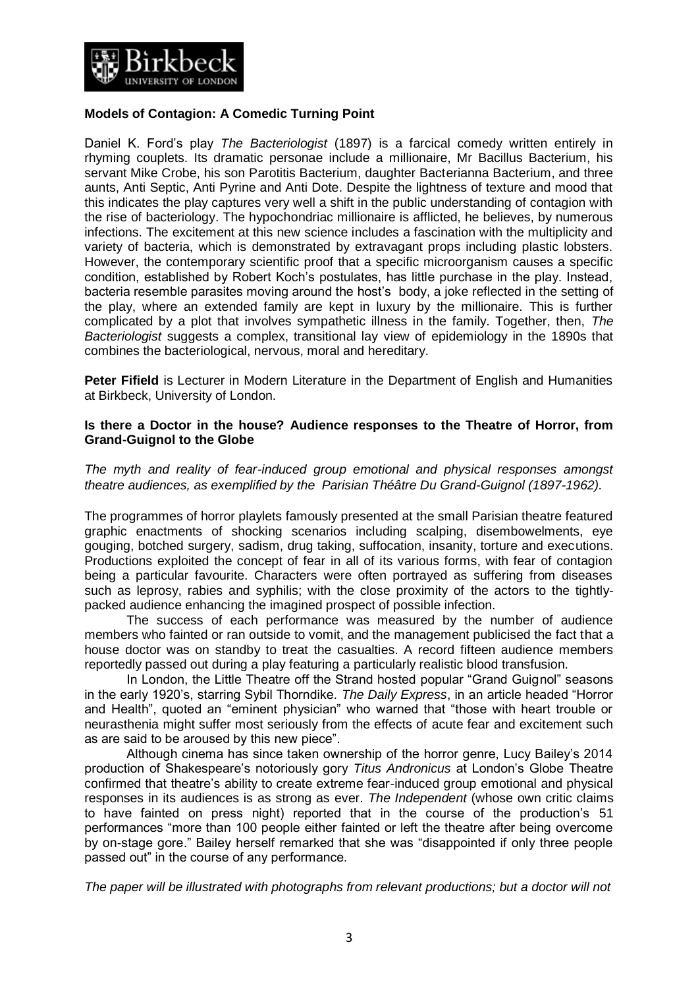

# **Models of Contagion: A Comedic Turning Point**

Daniel K. Ford's play *The Bacteriologist* (1897) is a farcical comedy written entirely in rhyming couplets. Its dramatic personae include a millionaire, Mr Bacillus Bacterium, his servant Mike Crobe, his son Parotitis Bacterium, daughter Bacterianna Bacterium, and three aunts, Anti Septic, Anti Pyrine and Anti Dote. Despite the lightness of texture and mood that this indicates the play captures very well a shift in the public understanding of contagion with the rise of bacteriology. The hypochondriac millionaire is afflicted, he believes, by numerous infections. The excitement at this new science includes a fascination with the multiplicity and variety of bacteria, which is demonstrated by extravagant props including plastic lobsters. However, the contemporary scientific proof that a specific microorganism causes a specific condition, established by Robert Koch's postulates, has little purchase in the play. Instead, bacteria resemble parasites moving around the host's body, a joke reflected in the setting of the play, where an extended family are kept in luxury by the millionaire. This is further complicated by a plot that involves sympathetic illness in the family. Together, then, *The Bacteriologist* suggests a complex, transitional lay view of epidemiology in the 1890s that combines the bacteriological, nervous, moral and hereditary.

**Peter Fifield** is Lecturer in Modern Literature in the Department of English and Humanities at Birkbeck, University of London.

### **Is there a Doctor in the house? Audience responses to the Theatre of Horror, from Grand-Guignol to the Globe**

*The myth and reality of fear-induced group emotional and physical responses amongst theatre audiences, as exemplified by the Parisian Théâtre Du Grand-Guignol (1897-1962).* 

The programmes of horror playlets famously presented at the small Parisian theatre featured graphic enactments of shocking scenarios including scalping, disembowelments, eye gouging, botched surgery, sadism, drug taking, suffocation, insanity, torture and executions. Productions exploited the concept of fear in all of its various forms, with fear of contagion being a particular favourite. Characters were often portrayed as suffering from diseases such as leprosy, rabies and syphilis; with the close proximity of the actors to the tightlypacked audience enhancing the imagined prospect of possible infection.

The success of each performance was measured by the number of audience members who fainted or ran outside to vomit, and the management publicised the fact that a house doctor was on standby to treat the casualties. A record fifteen audience members reportedly passed out during a play featuring a particularly realistic blood transfusion.

In London, the Little Theatre off the Strand hosted popular "Grand Guignol" seasons in the early 1920's, starring Sybil Thorndike. *The Daily Express*, in an article headed "Horror and Health", quoted an "eminent physician" who warned that "those with heart trouble or neurasthenia might suffer most seriously from the effects of acute fear and excitement such as are said to be aroused by this new piece".

Although cinema has since taken ownership of the horror genre, Lucy Bailey's 2014 production of Shakespeare's notoriously gory *Titus Andronicus* at London's Globe Theatre confirmed that theatre's ability to create extreme fear-induced group emotional and physical responses in its audiences is as strong as ever. *The Independent* (whose own critic claims to have fainted on press night) reported that in the course of the production's 51 performances "more than 100 people either fainted or left the theatre after being overcome by on-stage gore." Bailey herself remarked that she was "disappointed if only three people passed out" in the course of any performance.

*The paper will be illustrated with photographs from relevant productions; but a doctor will not*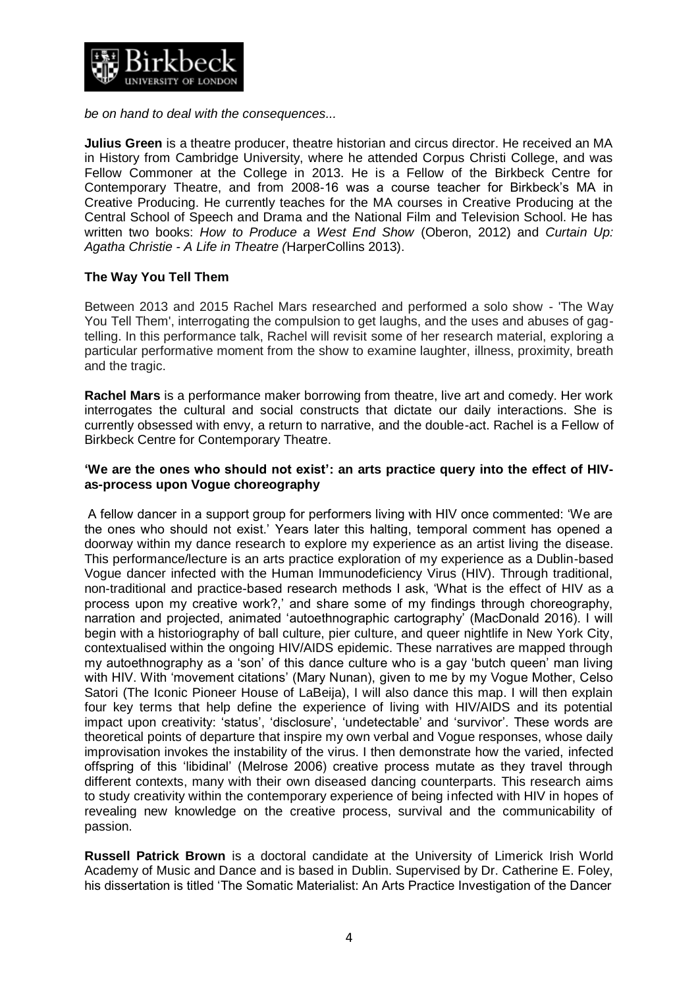

*be on hand to deal with the consequences...* 

**Julius Green** is a theatre producer, theatre historian and circus director. He received an MA in History from Cambridge University, where he attended Corpus Christi College, and was Fellow Commoner at the College in 2013. He is a Fellow of the Birkbeck Centre for Contemporary Theatre, and from 2008-16 was a course teacher for Birkbeck's MA in Creative Producing. He currently teaches for the MA courses in Creative Producing at the Central School of Speech and Drama and the National Film and Television School. He has written two books: *How to Produce a West End Show* (Oberon, 2012) and *Curtain Up: Agatha Christie - A Life in Theatre (*HarperCollins 2013).

# **The Way You Tell Them**

Between 2013 and 2015 Rachel Mars researched and performed a solo show - 'The Way You Tell Them', interrogating the compulsion to get laughs, and the uses and abuses of gagtelling. In this performance talk, Rachel will revisit some of her research material, exploring a particular performative moment from the show to examine laughter, illness, proximity, breath and the tragic.

**Rachel Mars** is a performance maker borrowing from theatre, live art and comedy. Her work interrogates the cultural and social constructs that dictate our daily interactions. She is currently obsessed with envy, a return to narrative, and the double-act. Rachel is a Fellow of Birkbeck Centre for Contemporary Theatre.

### **'We are the ones who should not exist': an arts practice query into the effect of HIVas-process upon Vogue choreography**

A fellow dancer in a support group for performers living with HIV once commented: 'We are the ones who should not exist.' Years later this halting, temporal comment has opened a doorway within my dance research to explore my experience as an artist living the disease. This performance/lecture is an arts practice exploration of my experience as a Dublin-based Vogue dancer infected with the Human Immunodeficiency Virus (HIV). Through traditional, non-traditional and practice-based research methods I ask, 'What is the effect of HIV as a process upon my creative work?,' and share some of my findings through choreography, narration and projected, animated 'autoethnographic cartography' (MacDonald 2016). I will begin with a historiography of ball culture, pier culture, and queer nightlife in New York City, contextualised within the ongoing HIV/AIDS epidemic. These narratives are mapped through my autoethnography as a 'son' of this dance culture who is a gay 'butch queen' man living with HIV. With 'movement citations' (Mary Nunan), given to me by my Vogue Mother, Celso Satori (The Iconic Pioneer House of LaBeija), I will also dance this map. I will then explain four key terms that help define the experience of living with HIV/AIDS and its potential impact upon creativity: 'status', 'disclosure', 'undetectable' and 'survivor'. These words are theoretical points of departure that inspire my own verbal and Vogue responses, whose daily improvisation invokes the instability of the virus. I then demonstrate how the varied, infected offspring of this 'libidinal' (Melrose 2006) creative process mutate as they travel through different contexts, many with their own diseased dancing counterparts. This research aims to study creativity within the contemporary experience of being infected with HIV in hopes of revealing new knowledge on the creative process, survival and the communicability of passion.

**Russell Patrick Brown** is a doctoral candidate at the University of Limerick Irish World Academy of Music and Dance and is based in Dublin. Supervised by Dr. Catherine E. Foley, his dissertation is titled 'The Somatic Materialist: An Arts Practice Investigation of the Dancer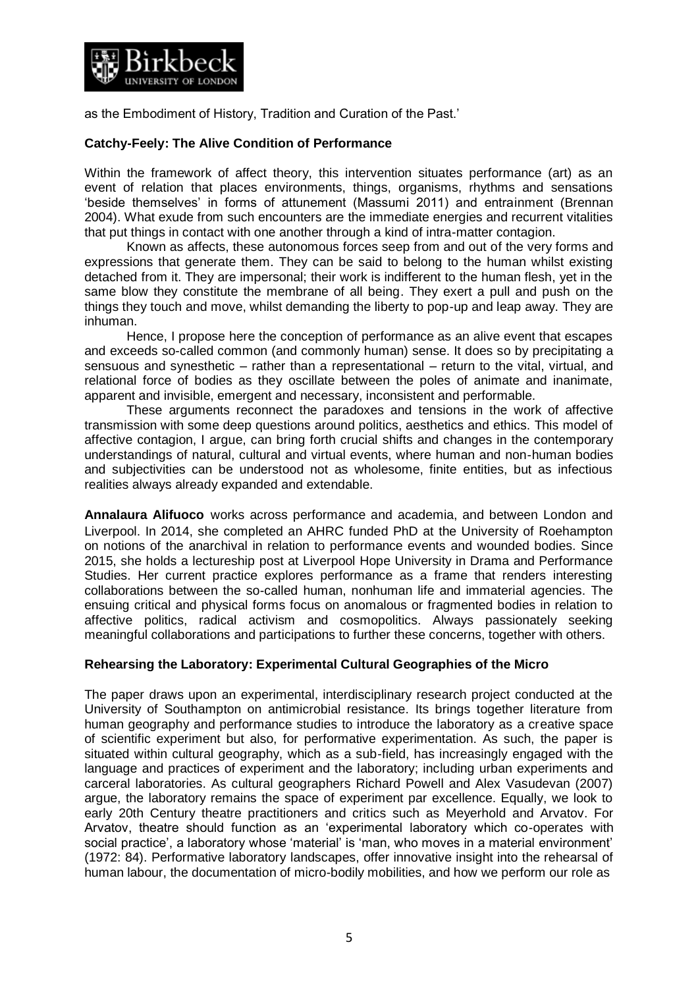

as the Embodiment of History, Tradition and Curation of the Past.'

## **Catchy-Feely: The Alive Condition of Performance**

Within the framework of affect theory, this intervention situates performance (art) as an event of relation that places environments, things, organisms, rhythms and sensations 'beside themselves' in forms of attunement (Massumi 2011) and entrainment (Brennan 2004). What exude from such encounters are the immediate energies and recurrent vitalities that put things in contact with one another through a kind of intra-matter contagion.

Known as affects, these autonomous forces seep from and out of the very forms and expressions that generate them. They can be said to belong to the human whilst existing detached from it. They are impersonal; their work is indifferent to the human flesh, yet in the same blow they constitute the membrane of all being. They exert a pull and push on the things they touch and move, whilst demanding the liberty to pop-up and leap away. They are inhuman.

Hence, I propose here the conception of performance as an alive event that escapes and exceeds so-called common (and commonly human) sense. It does so by precipitating a sensuous and synesthetic – rather than a representational – return to the vital, virtual, and relational force of bodies as they oscillate between the poles of animate and inanimate, apparent and invisible, emergent and necessary, inconsistent and performable.

These arguments reconnect the paradoxes and tensions in the work of affective transmission with some deep questions around politics, aesthetics and ethics. This model of affective contagion, I argue, can bring forth crucial shifts and changes in the contemporary understandings of natural, cultural and virtual events, where human and non-human bodies and subjectivities can be understood not as wholesome, finite entities, but as infectious realities always already expanded and extendable.

**Annalaura Alifuoco** works across performance and academia, and between London and Liverpool. In 2014, she completed an AHRC funded PhD at the University of Roehampton on notions of the anarchival in relation to performance events and wounded bodies. Since 2015, she holds a lectureship post at Liverpool Hope University in Drama and Performance Studies. Her current practice explores performance as a frame that renders interesting collaborations between the so-called human, nonhuman life and immaterial agencies. The ensuing critical and physical forms focus on anomalous or fragmented bodies in relation to affective politics, radical activism and cosmopolitics. Always passionately seeking meaningful collaborations and participations to further these concerns, together with others.

### **Rehearsing the Laboratory: Experimental Cultural Geographies of the Micro**

The paper draws upon an experimental, interdisciplinary research project conducted at the University of Southampton on antimicrobial resistance. Its brings together literature from human geography and performance studies to introduce the laboratory as a creative space of scientific experiment but also, for performative experimentation. As such, the paper is situated within cultural geography, which as a sub-field, has increasingly engaged with the language and practices of experiment and the laboratory; including urban experiments and carceral laboratories. As cultural geographers Richard Powell and Alex Vasudevan (2007) argue, the laboratory remains the space of experiment par excellence. Equally, we look to early 20th Century theatre practitioners and critics such as Meyerhold and Arvatov. For Arvatov, theatre should function as an 'experimental laboratory which co-operates with social practice', a laboratory whose 'material' is 'man, who moves in a material environment' (1972: 84). Performative laboratory landscapes, offer innovative insight into the rehearsal of human labour, the documentation of micro-bodily mobilities, and how we perform our role as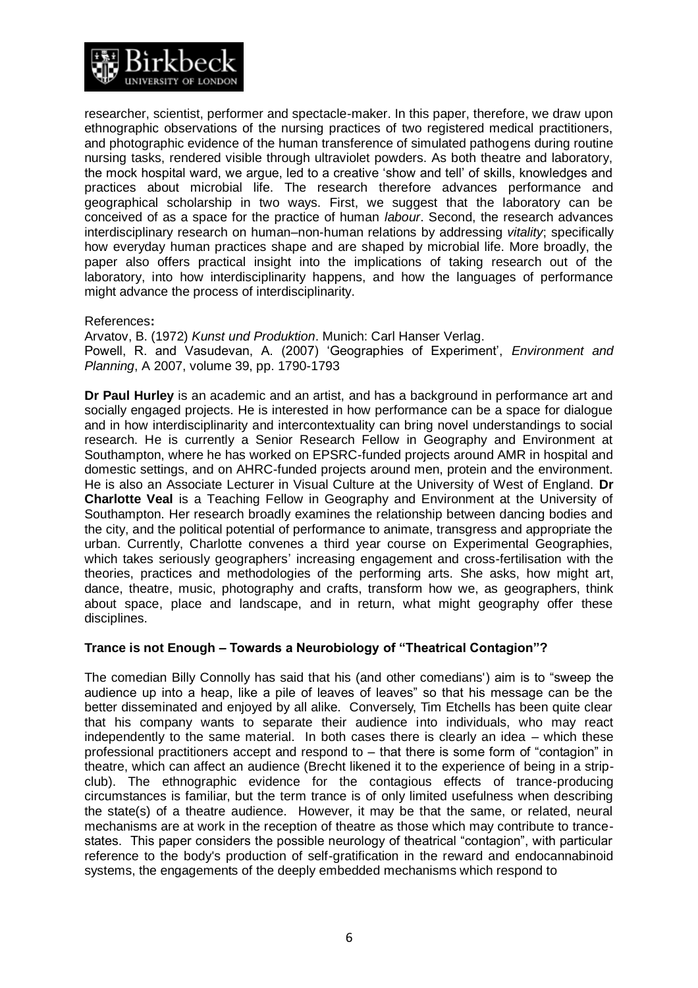

researcher, scientist, performer and spectacle-maker. In this paper, therefore, we draw upon ethnographic observations of the nursing practices of two registered medical practitioners, and photographic evidence of the human transference of simulated pathogens during routine nursing tasks, rendered visible through ultraviolet powders. As both theatre and laboratory, the mock hospital ward, we argue, led to a creative 'show and tell' of skills, knowledges and practices about microbial life. The research therefore advances performance and geographical scholarship in two ways. First, we suggest that the laboratory can be conceived of as a space for the practice of human *labour*. Second, the research advances interdisciplinary research on human–non-human relations by addressing *vitality*; specifically how everyday human practices shape and are shaped by microbial life. More broadly, the paper also offers practical insight into the implications of taking research out of the laboratory, into how interdisciplinarity happens, and how the languages of performance might advance the process of interdisciplinarity.

### References**:**

Arvatov, B. (1972) *Kunst und Produktion*. Munich: Carl Hanser Verlag. Powell, R. and Vasudevan, A. (2007) 'Geographies of Experiment', *Environment and Planning*, A 2007, volume 39, pp. 1790-1793

**Dr Paul Hurley** is an academic and an artist, and has a background in performance art and socially engaged projects. He is interested in how performance can be a space for dialogue and in how interdisciplinarity and intercontextuality can bring novel understandings to social research. He is currently a Senior Research Fellow in Geography and Environment at Southampton, where he has worked on EPSRC-funded projects around AMR in hospital and domestic settings, and on AHRC-funded projects around men, protein and the environment. He is also an Associate Lecturer in Visual Culture at the University of West of England. **Dr Charlotte Veal** is a Teaching Fellow in Geography and Environment at the University of Southampton. Her research broadly examines the relationship between dancing bodies and the city, and the political potential of performance to animate, transgress and appropriate the urban. Currently, Charlotte convenes a third year course on Experimental Geographies, which takes seriously geographers' increasing engagement and cross-fertilisation with the theories, practices and methodologies of the performing arts. She asks, how might art, dance, theatre, music, photography and crafts, transform how we, as geographers, think about space, place and landscape, and in return, what might geography offer these disciplines.

### **Trance is not Enough – Towards a Neurobiology of "Theatrical Contagion"?**

The comedian Billy Connolly has said that his (and other comedians') aim is to "sweep the audience up into a heap, like a pile of leaves of leaves" so that his message can be the better disseminated and enjoyed by all alike. Conversely, Tim Etchells has been quite clear that his company wants to separate their audience into individuals, who may react independently to the same material. In both cases there is clearly an idea – which these professional practitioners accept and respond to – that there is some form of "contagion" in theatre, which can affect an audience (Brecht likened it to the experience of being in a stripclub). The ethnographic evidence for the contagious effects of trance-producing circumstances is familiar, but the term trance is of only limited usefulness when describing the state(s) of a theatre audience. However, it may be that the same, or related, neural mechanisms are at work in the reception of theatre as those which may contribute to trancestates. This paper considers the possible neurology of theatrical "contagion", with particular reference to the body's production of self-gratification in the reward and endocannabinoid systems, the engagements of the deeply embedded mechanisms which respond to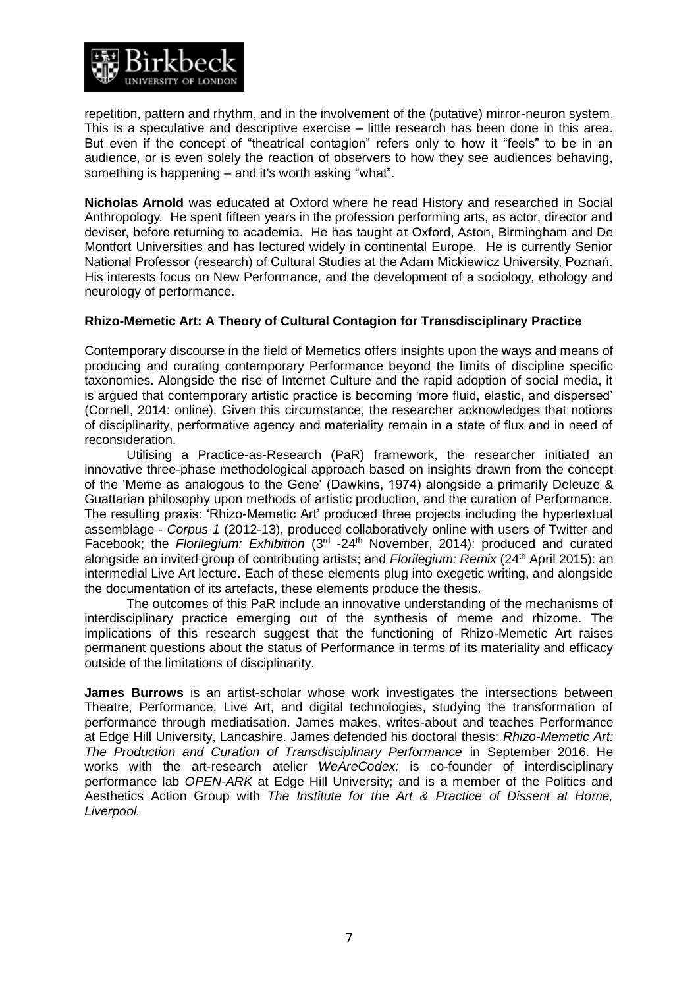

repetition, pattern and rhythm, and in the involvement of the (putative) mirror-neuron system. This is a speculative and descriptive exercise – little research has been done in this area. But even if the concept of "theatrical contagion" refers only to how it "feels" to be in an audience, or is even solely the reaction of observers to how they see audiences behaving, something is happening – and it's worth asking "what".

**Nicholas Arnold** was educated at Oxford where he read History and researched in Social Anthropology. He spent fifteen years in the profession performing arts, as actor, director and deviser, before returning to academia. He has taught at Oxford, Aston, Birmingham and De Montfort Universities and has lectured widely in continental Europe. He is currently Senior National Professor (research) of Cultural Studies at the Adam Mickiewicz University, Poznań. His interests focus on New Performance, and the development of a sociology, ethology and neurology of performance.

### **Rhizo-Memetic Art: A Theory of Cultural Contagion for Transdisciplinary Practice**

Contemporary discourse in the field of Memetics offers insights upon the ways and means of producing and curating contemporary Performance beyond the limits of discipline specific taxonomies. Alongside the rise of Internet Culture and the rapid adoption of social media, it is argued that contemporary artistic practice is becoming 'more fluid, elastic, and dispersed' (Cornell, 2014: online). Given this circumstance, the researcher acknowledges that notions of disciplinarity, performative agency and materiality remain in a state of flux and in need of reconsideration.

Utilising a Practice-as-Research (PaR) framework, the researcher initiated an innovative three-phase methodological approach based on insights drawn from the concept of the 'Meme as analogous to the Gene' (Dawkins, 1974) alongside a primarily Deleuze & Guattarian philosophy upon methods of artistic production, and the curation of Performance. The resulting praxis: 'Rhizo-Memetic Art' produced three projects including the hypertextual assemblage - *Corpus 1* (2012-13), produced collaboratively online with users of Twitter and Facebook; the Florilegium: Exhibition (3<sup>rd</sup> -24<sup>th</sup> November, 2014): produced and curated alongside an invited group of contributing artists; and *Florilegium: Remix* (24th April 2015): an intermedial Live Art lecture. Each of these elements plug into exegetic writing, and alongside the documentation of its artefacts, these elements produce the thesis.

The outcomes of this PaR include an innovative understanding of the mechanisms of interdisciplinary practice emerging out of the synthesis of meme and rhizome. The implications of this research suggest that the functioning of Rhizo-Memetic Art raises permanent questions about the status of Performance in terms of its materiality and efficacy outside of the limitations of disciplinarity.

**James Burrows** is an artist-scholar whose work investigates the intersections between Theatre, Performance, Live Art, and digital technologies, studying the transformation of performance through mediatisation. James makes, writes-about and teaches Performance at Edge Hill University, Lancashire. James defended his doctoral thesis: *Rhizo-Memetic Art: The Production and Curation of Transdisciplinary Performance* in September 2016. He works with the art-research atelier *WeAreCodex;* is co-founder of interdisciplinary performance lab *OPEN-ARK* at Edge Hill University; and is a member of the Politics and Aesthetics Action Group with *The Institute for the Art & Practice of Dissent at Home, Liverpool.*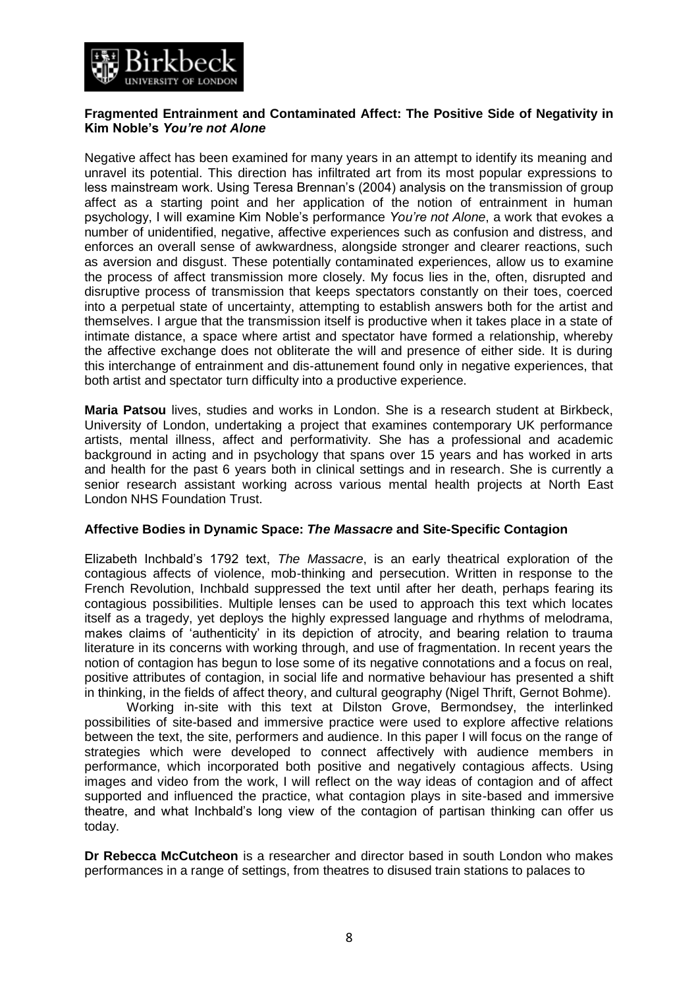

### **Fragmented Entrainment and Contaminated Affect: The Positive Side of Negativity in Kim Noble's** *You're not Alone*

Negative affect has been examined for many years in an attempt to identify its meaning and unravel its potential. This direction has infiltrated art from its most popular expressions to less mainstream work. Using Teresa Brennan's (2004) analysis on the transmission of group affect as a starting point and her application of the notion of entrainment in human psychology, I will examine Kim Noble's performance *You're not Alone*, a work that evokes a number of unidentified, negative, affective experiences such as confusion and distress, and enforces an overall sense of awkwardness, alongside stronger and clearer reactions, such as aversion and disgust. These potentially contaminated experiences, allow us to examine the process of affect transmission more closely. My focus lies in the, often, disrupted and disruptive process of transmission that keeps spectators constantly on their toes, coerced into a perpetual state of uncertainty, attempting to establish answers both for the artist and themselves. I argue that the transmission itself is productive when it takes place in a state of intimate distance, a space where artist and spectator have formed a relationship, whereby the affective exchange does not obliterate the will and presence of either side. It is during this interchange of entrainment and dis-attunement found only in negative experiences, that both artist and spectator turn difficulty into a productive experience.

**Maria Patsou** lives, studies and works in London. She is a research student at Birkbeck, University of London, undertaking a project that examines contemporary UK performance artists, mental illness, affect and performativity. She has a professional and academic background in acting and in psychology that spans over 15 years and has worked in arts and health for the past 6 years both in clinical settings and in research. She is currently a senior research assistant working across various mental health projects at North East London NHS Foundation Trust.

#### **Affective Bodies in Dynamic Space:** *The Massacre* **and Site-Specific Contagion**

Elizabeth Inchbald's 1792 text, *The Massacre*, is an early theatrical exploration of the contagious affects of violence, mob-thinking and persecution. Written in response to the French Revolution, Inchbald suppressed the text until after her death, perhaps fearing its contagious possibilities. Multiple lenses can be used to approach this text which locates itself as a tragedy, yet deploys the highly expressed language and rhythms of melodrama, makes claims of 'authenticity' in its depiction of atrocity, and bearing relation to trauma literature in its concerns with working through, and use of fragmentation. In recent years the notion of contagion has begun to lose some of its negative connotations and a focus on real, positive attributes of contagion, in social life and normative behaviour has presented a shift in thinking, in the fields of affect theory, and cultural geography (Nigel Thrift, Gernot Bohme).

Working in-site with this text at Dilston Grove, Bermondsey, the interlinked possibilities of site-based and immersive practice were used to explore affective relations between the text, the site, performers and audience. In this paper I will focus on the range of strategies which were developed to connect affectively with audience members in performance, which incorporated both positive and negatively contagious affects. Using images and video from the work, I will reflect on the way ideas of contagion and of affect supported and influenced the practice, what contagion plays in site-based and immersive theatre, and what Inchbald's long view of the contagion of partisan thinking can offer us today.

**Dr Rebecca McCutcheon** is a researcher and director based in south London who makes performances in a range of settings, from theatres to disused train stations to palaces to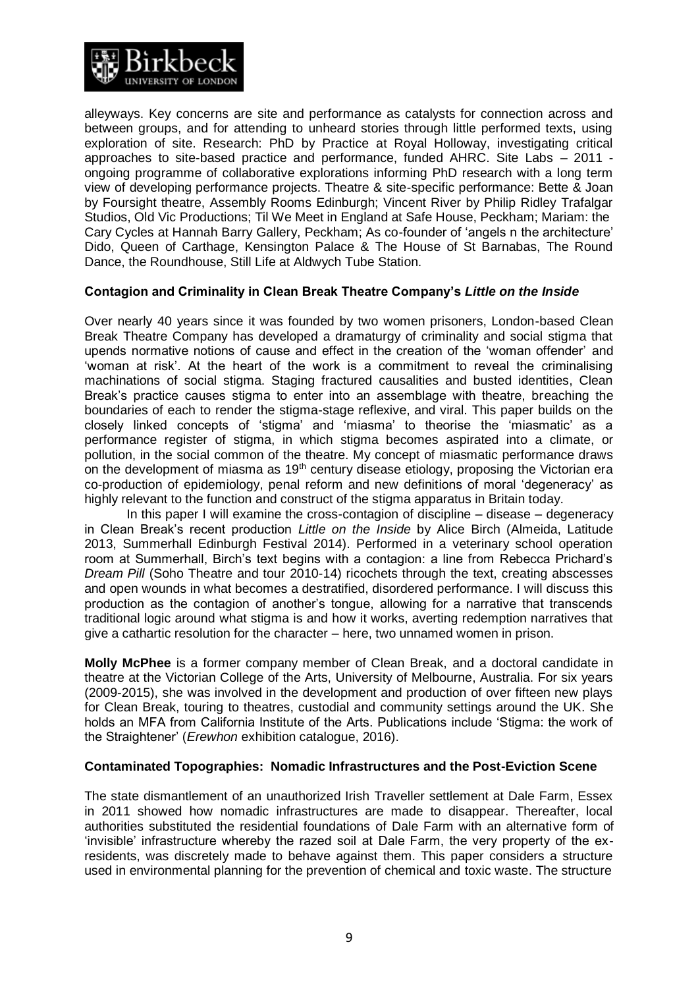

alleyways. Key concerns are site and performance as catalysts for connection across and between groups, and for attending to unheard stories through little performed texts, using exploration of site. Research: PhD by Practice at Royal Holloway, investigating critical approaches to site-based practice and performance, funded AHRC. Site Labs – 2011 ongoing programme of collaborative explorations informing PhD research with a long term view of developing performance projects. Theatre & site-specific performance: Bette & Joan by Foursight theatre, Assembly Rooms Edinburgh; Vincent River by Philip Ridley Trafalgar Studios, Old Vic Productions; Til We Meet in England at Safe House, Peckham; Mariam: the Cary Cycles at Hannah Barry Gallery, Peckham; As co-founder of 'angels n the architecture' Dido, Queen of Carthage, Kensington Palace & The House of St Barnabas, The Round Dance, the Roundhouse, Still Life at Aldwych Tube Station.

### **Contagion and Criminality in Clean Break Theatre Company's** *Little on the Inside*

Over nearly 40 years since it was founded by two women prisoners, London-based Clean Break Theatre Company has developed a dramaturgy of criminality and social stigma that upends normative notions of cause and effect in the creation of the 'woman offender' and 'woman at risk'. At the heart of the work is a commitment to reveal the criminalising machinations of social stigma. Staging fractured causalities and busted identities, Clean Break's practice causes stigma to enter into an assemblage with theatre, breaching the boundaries of each to render the stigma-stage reflexive, and viral. This paper builds on the closely linked concepts of 'stigma' and 'miasma' to theorise the 'miasmatic' as a performance register of stigma, in which stigma becomes aspirated into a climate, or pollution, in the social common of the theatre. My concept of miasmatic performance draws on the development of miasma as 19<sup>th</sup> century disease etiology, proposing the Victorian era co-production of epidemiology, penal reform and new definitions of moral 'degeneracy' as highly relevant to the function and construct of the stigma apparatus in Britain today.

In this paper I will examine the cross-contagion of discipline – disease – degeneracy in Clean Break's recent production *Little on the Inside* by Alice Birch (Almeida, Latitude 2013, Summerhall Edinburgh Festival 2014). Performed in a veterinary school operation room at Summerhall, Birch's text begins with a contagion: a line from Rebecca Prichard's *Dream Pill* (Soho Theatre and tour 2010-14) ricochets through the text, creating abscesses and open wounds in what becomes a destratified, disordered performance. I will discuss this production as the contagion of another's tongue, allowing for a narrative that transcends traditional logic around what stigma is and how it works, averting redemption narratives that give a cathartic resolution for the character – here, two unnamed women in prison.

**Molly McPhee** is a former company member of Clean Break, and a doctoral candidate in theatre at the Victorian College of the Arts, University of Melbourne, Australia. For six years (2009-2015), she was involved in the development and production of over fifteen new plays for Clean Break, touring to theatres, custodial and community settings around the UK. She holds an MFA from California Institute of the Arts. Publications include 'Stigma: the work of the Straightener' (*Erewhon* exhibition catalogue, 2016).

#### **Contaminated Topographies: Nomadic Infrastructures and the Post-Eviction Scene**

The state dismantlement of an unauthorized Irish Traveller settlement at Dale Farm, Essex in 2011 showed how nomadic infrastructures are made to disappear. Thereafter, local authorities substituted the residential foundations of Dale Farm with an alternative form of 'invisible' infrastructure whereby the razed soil at Dale Farm, the very property of the exresidents, was discretely made to behave against them. This paper considers a structure used in environmental planning for the prevention of chemical and toxic waste. The structure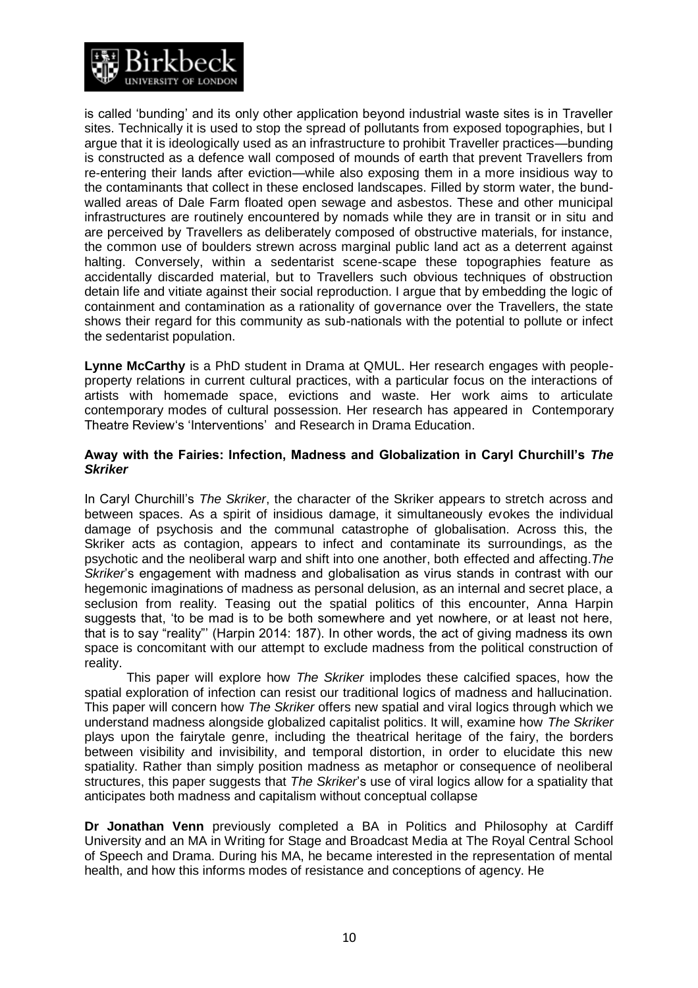

is called 'bunding' and its only other application beyond industrial waste sites is in Traveller sites. Technically it is used to stop the spread of pollutants from exposed topographies, but I argue that it is ideologically used as an infrastructure to prohibit Traveller practices—bunding is constructed as a defence wall composed of mounds of earth that prevent Travellers from re-entering their lands after eviction—while also exposing them in a more insidious way to the contaminants that collect in these enclosed landscapes. Filled by storm water, the bundwalled areas of Dale Farm floated open sewage and asbestos. These and other municipal infrastructures are routinely encountered by nomads while they are in transit or in situ and are perceived by Travellers as deliberately composed of obstructive materials, for instance, the common use of boulders strewn across marginal public land act as a deterrent against halting. Conversely, within a sedentarist scene-scape these topographies feature as accidentally discarded material, but to Travellers such obvious techniques of obstruction detain life and vitiate against their social reproduction. I argue that by embedding the logic of containment and contamination as a rationality of governance over the Travellers, the state shows their regard for this community as sub-nationals with the potential to pollute or infect the sedentarist population.

**Lynne McCarthy** is a PhD student in Drama at QMUL. Her research engages with peopleproperty relations in current cultural practices, with a particular focus on the interactions of artists with homemade space, evictions and waste. Her work aims to articulate contemporary modes of cultural possession. Her research has appeared in [Contemporary](http://www.contemporarytheatrereview.org/2014/comment-sochi-2014/)  [Theatre Review's 'Interventions'](http://www.contemporarytheatrereview.org/2014/comment-sochi-2014/) and [Research in Drama Education.](http://www.tandfonline.com/doi/full/10.1080/13569783.2014.983061)

### **Away with the Fairies: Infection, Madness and Globalization in Caryl Churchill's** *The Skriker*

In Caryl Churchill's *The Skriker*, the character of the Skriker appears to stretch across and between spaces. As a spirit of insidious damage, it simultaneously evokes the individual damage of psychosis and the communal catastrophe of globalisation. Across this, the Skriker acts as contagion, appears to infect and contaminate its surroundings, as the psychotic and the neoliberal warp and shift into one another, both effected and affecting.*The Skriker*'s engagement with madness and globalisation as virus stands in contrast with our hegemonic imaginations of madness as personal delusion, as an internal and secret place, a seclusion from reality. Teasing out the spatial politics of this encounter, Anna Harpin suggests that, 'to be mad is to be both somewhere and yet nowhere, or at least not here, that is to say "reality"' (Harpin 2014: 187). In other words, the act of giving madness its own space is concomitant with our attempt to exclude madness from the political construction of reality.

This paper will explore how *The Skriker* implodes these calcified spaces, how the spatial exploration of infection can resist our traditional logics of madness and hallucination. This paper will concern how *The Skriker* offers new spatial and viral logics through which we understand madness alongside globalized capitalist politics. It will, examine how *The Skriker* plays upon the fairytale genre, including the theatrical heritage of the fairy, the borders between visibility and invisibility, and temporal distortion, in order to elucidate this new spatiality. Rather than simply position madness as metaphor or consequence of neoliberal structures, this paper suggests that *The Skriker*'s use of viral logics allow for a spatiality that anticipates both madness and capitalism without conceptual collapse

**Dr Jonathan Venn** previously completed a BA in Politics and Philosophy at Cardiff University and an MA in Writing for Stage and Broadcast Media at The Royal Central School of Speech and Drama. During his MA, he became interested in the representation of mental health, and how this informs modes of resistance and conceptions of agency. He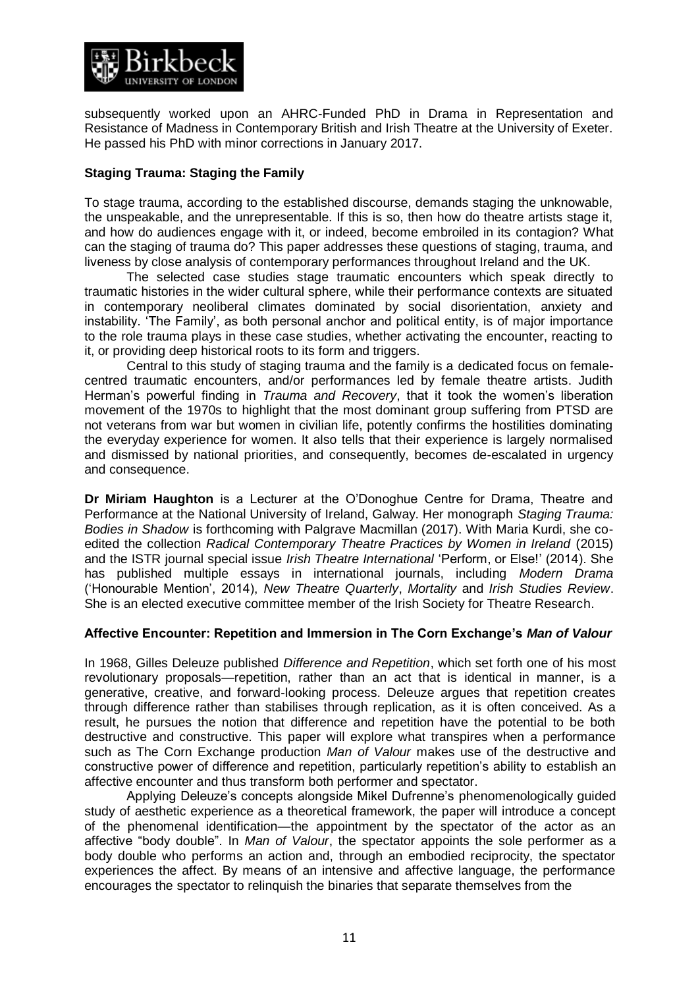

subsequently worked upon an AHRC-Funded PhD in Drama in Representation and Resistance of Madness in Contemporary British and Irish Theatre at the University of Exeter. He passed his PhD with minor corrections in January 2017.

## **Staging Trauma: Staging the Family**

To stage trauma, according to the established discourse, demands staging the unknowable, the unspeakable, and the unrepresentable. If this is so, then how do theatre artists stage it, and how do audiences engage with it, or indeed, become embroiled in its contagion? What can the staging of trauma do? This paper addresses these questions of staging, trauma, and liveness by close analysis of contemporary performances throughout Ireland and the UK.

The selected case studies stage traumatic encounters which speak directly to traumatic histories in the wider cultural sphere, while their performance contexts are situated in contemporary neoliberal climates dominated by social disorientation, anxiety and instability. 'The Family', as both personal anchor and political entity, is of major importance to the role trauma plays in these case studies, whether activating the encounter, reacting to it, or providing deep historical roots to its form and triggers.

Central to this study of staging trauma and the family is a dedicated focus on femalecentred traumatic encounters, and/or performances led by female theatre artists. Judith Herman's powerful finding in *Trauma and Recovery*, that it took the women's liberation movement of the 1970s to highlight that the most dominant group suffering from PTSD are not veterans from war but women in civilian life, potently confirms the hostilities dominating the everyday experience for women. It also tells that their experience is largely normalised and dismissed by national priorities, and consequently, becomes de-escalated in urgency and consequence.

**Dr Miriam Haughton** is a Lecturer at the O'Donoghue Centre for Drama, Theatre and Performance at the National University of Ireland, Galway. Her monograph *Staging Trauma: Bodies in Shadow* is forthcoming with Palgrave Macmillan (2017). With Maria Kurdi, she coedited the collection *Radical Contemporary Theatre Practices by Women in Ireland* (2015) and the ISTR journal special issue *Irish Theatre International* 'Perform, or Else!' (2014). She has published multiple essays in international journals, including *Modern Drama* ('Honourable Mention', 2014), *New Theatre Quarterly*, *Mortality* and *Irish Studies Review*. She is an elected executive committee member of the Irish Society for Theatre Research.

### **Affective Encounter: Repetition and Immersion in The Corn Exchange's** *Man of Valour*

In 1968, Gilles Deleuze published *Difference and Repetition*, which set forth one of his most revolutionary proposals—repetition, rather than an act that is identical in manner, is a generative, creative, and forward-looking process. Deleuze argues that repetition creates through difference rather than stabilises through replication, as it is often conceived. As a result, he pursues the notion that difference and repetition have the potential to be both destructive and constructive. This paper will explore what transpires when a performance such as The Corn Exchange production *Man of Valour* makes use of the destructive and constructive power of difference and repetition, particularly repetition's ability to establish an affective encounter and thus transform both performer and spectator.

Applying Deleuze's concepts alongside Mikel Dufrenne's phenomenologically guided study of aesthetic experience as a theoretical framework, the paper will introduce a concept of the phenomenal identification—the appointment by the spectator of the actor as an affective "body double". In *Man of Valour*, the spectator appoints the sole performer as a body double who performs an action and, through an embodied reciprocity, the spectator experiences the affect. By means of an intensive and affective language, the performance encourages the spectator to relinquish the binaries that separate themselves from the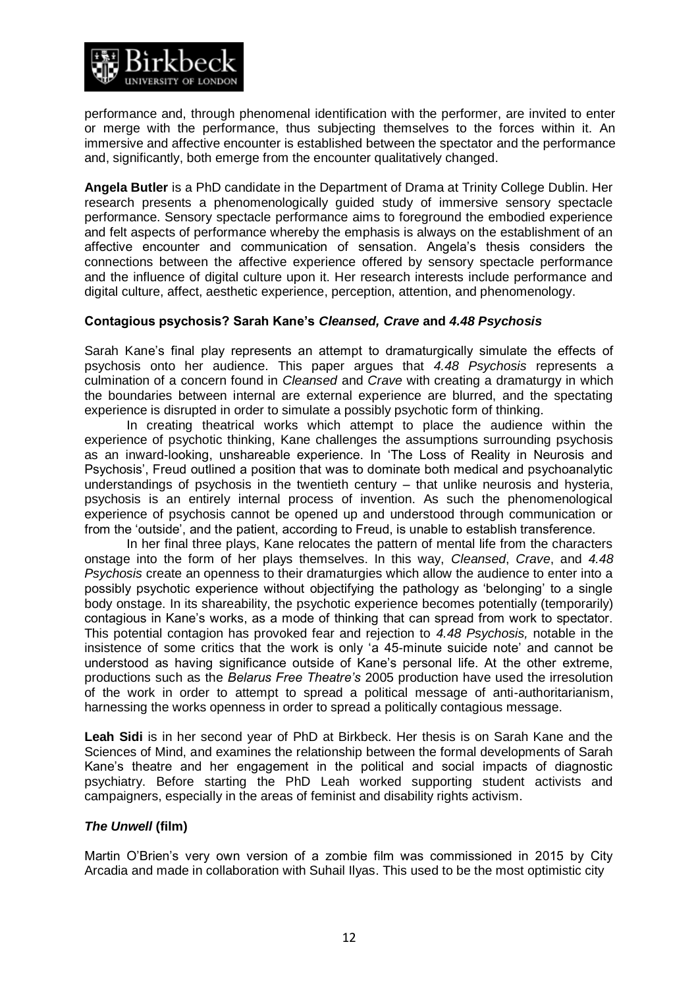

performance and, through phenomenal identification with the performer, are invited to enter or merge with the performance, thus subjecting themselves to the forces within it. An immersive and affective encounter is established between the spectator and the performance and, significantly, both emerge from the encounter qualitatively changed.

**Angela Butler** is a PhD candidate in the Department of Drama at Trinity College Dublin. Her research presents a phenomenologically guided study of immersive sensory spectacle performance. Sensory spectacle performance aims to foreground the embodied experience and felt aspects of performance whereby the emphasis is always on the establishment of an affective encounter and communication of sensation. Angela's thesis considers the connections between the affective experience offered by sensory spectacle performance and the influence of digital culture upon it. Her research interests include performance and digital culture, affect, aesthetic experience, perception, attention, and phenomenology.

### **Contagious psychosis? Sarah Kane's** *Cleansed, Crave* **and** *4.48 Psychosis*

Sarah Kane's final play represents an attempt to dramaturgically simulate the effects of psychosis onto her audience. This paper argues that *4.48 Psychosis* represents a culmination of a concern found in *Cleansed* and *Crave* with creating a dramaturgy in which the boundaries between internal are external experience are blurred, and the spectating experience is disrupted in order to simulate a possibly psychotic form of thinking.

In creating theatrical works which attempt to place the audience within the experience of psychotic thinking, Kane challenges the assumptions surrounding psychosis as an inward-looking, unshareable experience. In 'The Loss of Reality in Neurosis and Psychosis', Freud outlined a position that was to dominate both medical and psychoanalytic understandings of psychosis in the twentieth century – that unlike neurosis and hysteria, psychosis is an entirely internal process of invention. As such the phenomenological experience of psychosis cannot be opened up and understood through communication or from the 'outside', and the patient, according to Freud, is unable to establish transference.

In her final three plays, Kane relocates the pattern of mental life from the characters onstage into the form of her plays themselves. In this way, *Cleansed*, *Crave*, and *4.48 Psychosis* create an openness to their dramaturgies which allow the audience to enter into a possibly psychotic experience without objectifying the pathology as 'belonging' to a single body onstage. In its shareability, the psychotic experience becomes potentially (temporarily) contagious in Kane's works, as a mode of thinking that can spread from work to spectator. This potential contagion has provoked fear and rejection to *4.48 Psychosis,* notable in the insistence of some critics that the work is only 'a 45-minute suicide note' and cannot be understood as having significance outside of Kane's personal life. At the other extreme, productions such as the *Belarus Free Theatre's* 2005 production have used the irresolution of the work in order to attempt to spread a political message of anti-authoritarianism, harnessing the works openness in order to spread a politically contagious message.

**Leah Sidi** is in her second year of PhD at Birkbeck. Her thesis is on Sarah Kane and the Sciences of Mind, and examines the relationship between the formal developments of Sarah Kane's theatre and her engagement in the political and social impacts of diagnostic psychiatry. Before starting the PhD Leah worked supporting student activists and campaigners, especially in the areas of feminist and disability rights activism.

### *The Unwell* **(film)**

Martin O'Brien's very own version of a zombie film was commissioned in 2015 by City Arcadia and made in collaboration with Suhail Ilyas. This used to be the most optimistic city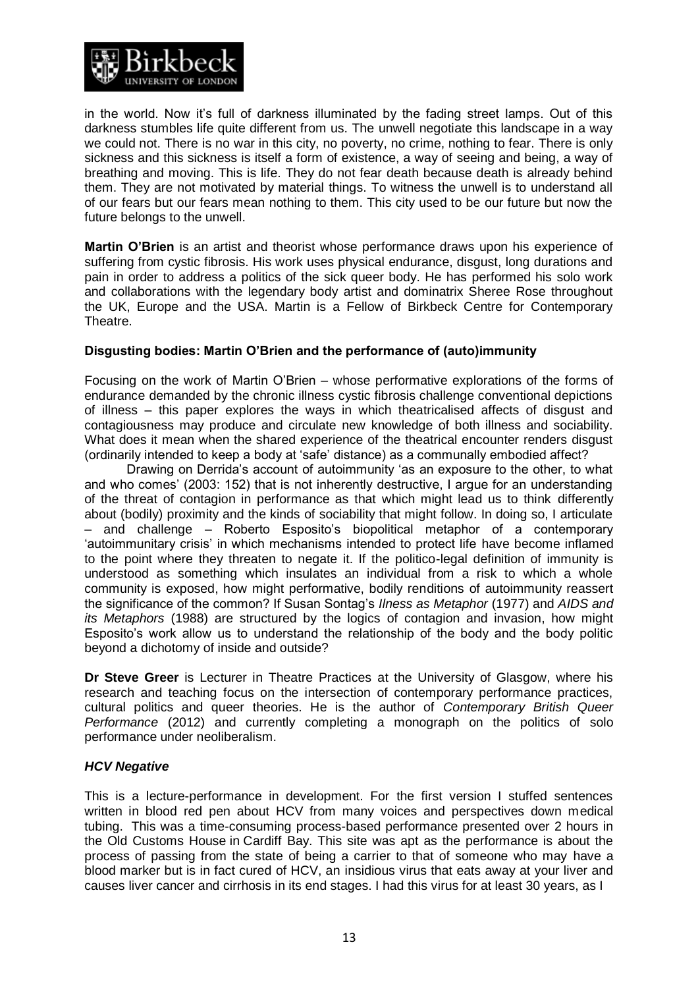

in the world. Now it's full of darkness illuminated by the fading street lamps. Out of this darkness stumbles life quite different from us. The unwell negotiate this landscape in a way we could not. There is no war in this city, no poverty, no crime, nothing to fear. There is only sickness and this sickness is itself a form of existence, a way of seeing and being, a way of breathing and moving. This is life. They do not fear death because death is already behind them. They are not motivated by material things. To witness the unwell is to understand all of our fears but our fears mean nothing to them. This city used to be our future but now the future belongs to the unwell.

**Martin O'Brien** is an artist and theorist whose performance draws upon his experience of suffering from cystic fibrosis. His work uses physical endurance, disgust, long durations and pain in order to address a politics of the sick queer body. He has performed his solo work and collaborations with the legendary body artist and dominatrix Sheree Rose throughout the UK, Europe and the USA. Martin is a Fellow of Birkbeck Centre for Contemporary Theatre.

# **Disgusting bodies: Martin O'Brien and the performance of (auto)immunity**

Focusing on the work of Martin O'Brien – whose performative explorations of the forms of endurance demanded by the chronic illness cystic fibrosis challenge conventional depictions of illness – this paper explores the ways in which theatricalised affects of disgust and contagiousness may produce and circulate new knowledge of both illness and sociability. What does it mean when the shared experience of the theatrical encounter renders disgust (ordinarily intended to keep a body at 'safe' distance) as a communally embodied affect?

Drawing on Derrida's account of autoimmunity 'as an exposure to the other, to what and who comes' (2003: 152) that is not inherently destructive, I argue for an understanding of the threat of contagion in performance as that which might lead us to think differently about (bodily) proximity and the kinds of sociability that might follow. In doing so, I articulate – and challenge – Roberto Esposito's biopolitical metaphor of a contemporary 'autoimmunitary crisis' in which mechanisms intended to protect life have become inflamed to the point where they threaten to negate it. If the politico-legal definition of immunity is understood as something which insulates an individual from a risk to which a whole community is exposed, how might performative, bodily renditions of autoimmunity reassert the significance of the common? If Susan Sontag's *Ilness as Metaphor* (1977) and *AIDS and its Metaphors* (1988) are structured by the logics of contagion and invasion, how might Esposito's work allow us to understand the relationship of the body and the body politic beyond a dichotomy of inside and outside?

**Dr Steve Greer** is Lecturer in Theatre Practices at the University of Glasgow, where his research and teaching focus on the intersection of contemporary performance practices, cultural politics and queer theories. He is the author of *Contemporary British Queer Performance* (2012) and currently completing a monograph on the politics of solo performance under neoliberalism.

### *HCV Negative*

This is a lecture-performance in development. For the first version I stuffed sentences written in blood red pen about HCV from many voices and perspectives down medical tubing. This was a time-consuming process-based performance presented over 2 hours in the Old Customs House in Cardiff Bay. This site was apt as the performance is about the process of passing from the state of being a carrier to that of someone who may have a blood marker but is in fact cured of HCV, an insidious virus that eats away at your liver and causes liver cancer and cirrhosis in its end stages. I had this virus for at least 30 years, as I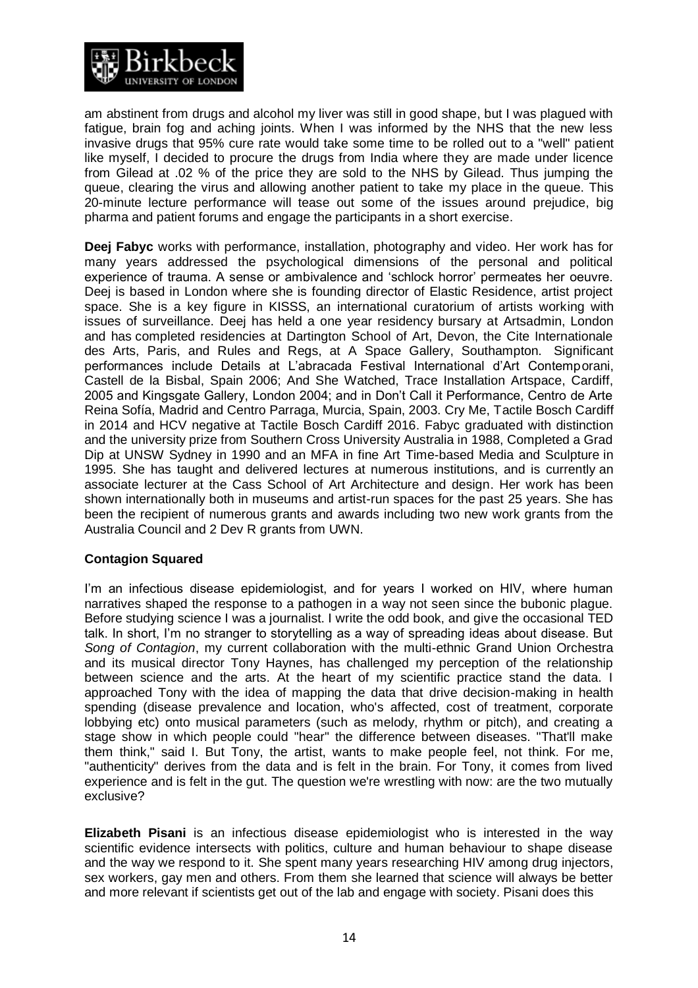

am abstinent from drugs and alcohol my liver was still in good shape, but I was plagued with fatigue, brain fog and aching joints. When I was informed by the NHS that the new less invasive drugs that 95% cure rate would take some time to be rolled out to a "well" patient like myself, I decided to procure the drugs from India where they are made under licence from Gilead at .02 % of the price they are sold to the NHS by Gilead. Thus jumping the queue, clearing the virus and allowing another patient to take my place in the queue. This 20-minute lecture performance will tease out some of the issues around prejudice, big pharma and patient forums and engage the participants in a short exercise.

**Deej Fabyc** works with performance, installation, photography and video. Her work has for many years addressed the psychological dimensions of the personal and political experience of trauma. A sense or ambivalence and 'schlock horror' permeates her oeuvre. Deej is based in London where she is founding director of Elastic Residence, artist project space. She is a key figure in KISSS, an international curatorium of artists working with issues of surveillance. Deej has held a one year residency bursary at Artsadmin, London and has completed residencies at Dartington School of Art, Devon, the Cite Internationale des Arts, Paris, and Rules and Regs, at A Space Gallery, Southampton. Significant performances include Details at L'abracada Festival International d'Art Contemporani, Castell de la Bisbal, Spain 2006; And She Watched, Trace Installation Artspace, Cardiff, 2005 and Kingsgate Gallery, London 2004; and in Don't Call it Performance, Centro de Arte Reina Sofía, Madrid and Centro Parraga, Murcia, Spain, 2003. Cry Me, Tactile Bosch Cardiff in 2014 and HCV negative at Tactile Bosch Cardiff 2016. Fabyc graduated with distinction and the university prize from Southern Cross University Australia in 1988, Completed a Grad Dip at UNSW Sydney in 1990 and an MFA in fine Art Time-based Media and Sculpture in 1995. She has taught and delivered lectures at numerous institutions, and is currently an associate lecturer at the Cass School of Art Architecture and design. Her work has been shown internationally both in museums and artist-run spaces for the past 25 years. She has been the recipient of numerous grants and awards including two new work grants from the Australia Council and 2 Dev R grants from UWN.

# **Contagion Squared**

I'm an infectious disease epidemiologist, and for years I worked on HIV, where human narratives shaped the response to a pathogen in a way not seen since the bubonic plague. Before studying science I was a journalist. I write the odd book, and give the occasional TED talk. In short, I'm no stranger to storytelling as a way of spreading ideas about disease. But *Song of Contagion*, my current collaboration with the multi-ethnic Grand Union Orchestra and its musical director Tony Haynes, has challenged my perception of the relationship between science and the arts. At the heart of my scientific practice stand the data. I approached Tony with the idea of mapping the data that drive decision-making in health spending (disease prevalence and location, who's affected, cost of treatment, corporate lobbying etc) onto musical parameters (such as melody, rhythm or pitch), and creating a stage show in which people could "hear" the difference between diseases. "That'll make them think," said I. But Tony, the artist, wants to make people feel, not think. For me, "authenticity" derives from the data and is felt in the brain. For Tony, it comes from lived experience and is felt in the gut. The question we're wrestling with now: are the two mutually exclusive?

**Elizabeth Pisani** is an infectious disease epidemiologist who is interested in the way scientific evidence intersects with politics, culture and human behaviour to shape disease and the way we respond to it. She spent many years researching HIV among drug injectors, sex workers, gay men and others. From them she learned that science will always be better and more relevant if scientists get out of the lab and engage with society. Pisani does this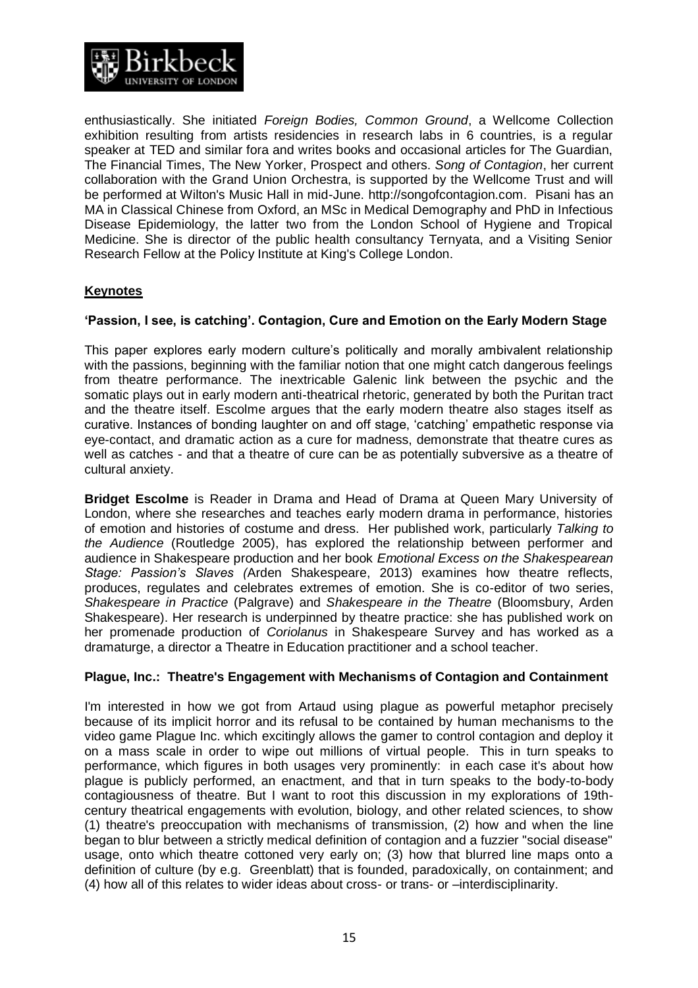

enthusiastically. She initiated *Foreign Bodies, Common Ground*, a Wellcome Collection exhibition resulting from artists residencies in research labs in 6 countries, is a regular speaker at TED and similar fora and writes books and occasional articles for The Guardian, The Financial Times, The New Yorker, Prospect and others. *Song of Contagion*, her current collaboration with the Grand Union Orchestra, is supported by the Wellcome Trust and will be performed at Wilton's Music Hall in mid-June. http://songofcontagion.com. Pisani has an MA in Classical Chinese from Oxford, an MSc in Medical Demography and PhD in Infectious Disease Epidemiology, the latter two from the London School of Hygiene and Tropical Medicine. She is director of the public health consultancy Ternyata, and a Visiting Senior Research Fellow at the Policy Institute at King's College London.

# **Keynotes**

### **'Passion, I see, is catching'. Contagion, Cure and Emotion on the Early Modern Stage**

This paper explores early modern culture's politically and morally ambivalent relationship with the passions, beginning with the familiar notion that one might catch dangerous feelings from theatre performance. The inextricable Galenic link between the psychic and the somatic plays out in early modern anti-theatrical rhetoric, generated by both the Puritan tract and the theatre itself. Escolme argues that the early modern theatre also stages itself as curative. Instances of bonding laughter on and off stage, 'catching' empathetic response via eye-contact, and dramatic action as a cure for madness, demonstrate that theatre cures as well as catches - and that a theatre of cure can be as potentially subversive as a theatre of cultural anxiety.

**Bridget Escolme** is Reader in Drama and Head of Drama at Queen Mary University of London, where she researches and teaches early modern drama in performance, histories of emotion and histories of costume and dress. Her published work, particularly *Talking to the Audience* (Routledge 2005), has explored the relationship between performer and audience in Shakespeare production and her book *Emotional Excess on the Shakespearean Stage: Passion's Slaves (*Arden Shakespeare, 2013) examines how theatre reflects, produces, regulates and celebrates extremes of emotion. She is co-editor of two series, *Shakespeare in Practice* (Palgrave) and *Shakespeare in the Theatre* (Bloomsbury, Arden Shakespeare). Her research is underpinned by theatre practice: she has published work on her promenade production of *Coriolanus* in Shakespeare Survey and has worked as a dramaturge, a director a Theatre in Education practitioner and a school teacher.

### **Plague, Inc.: Theatre's Engagement with Mechanisms of Contagion and Containment**

I'm interested in how we got from Artaud using plague as powerful metaphor precisely because of its implicit horror and its refusal to be contained by human mechanisms to the video game Plague Inc. which excitingly allows the gamer to control contagion and deploy it on a mass scale in order to wipe out millions of virtual people. This in turn speaks to performance, which figures in both usages very prominently: in each case it's about how plague is publicly performed, an enactment, and that in turn speaks to the body-to-body contagiousness of theatre. But I want to root this discussion in my explorations of 19thcentury theatrical engagements with evolution, biology, and other related sciences, to show (1) theatre's preoccupation with mechanisms of transmission, (2) how and when the line began to blur between a strictly medical definition of contagion and a fuzzier "social disease" usage, onto which theatre cottoned very early on; (3) how that blurred line maps onto a definition of culture (by e.g. Greenblatt) that is founded, paradoxically, on containment; and (4) how all of this relates to wider ideas about cross- or trans- or –interdisciplinarity.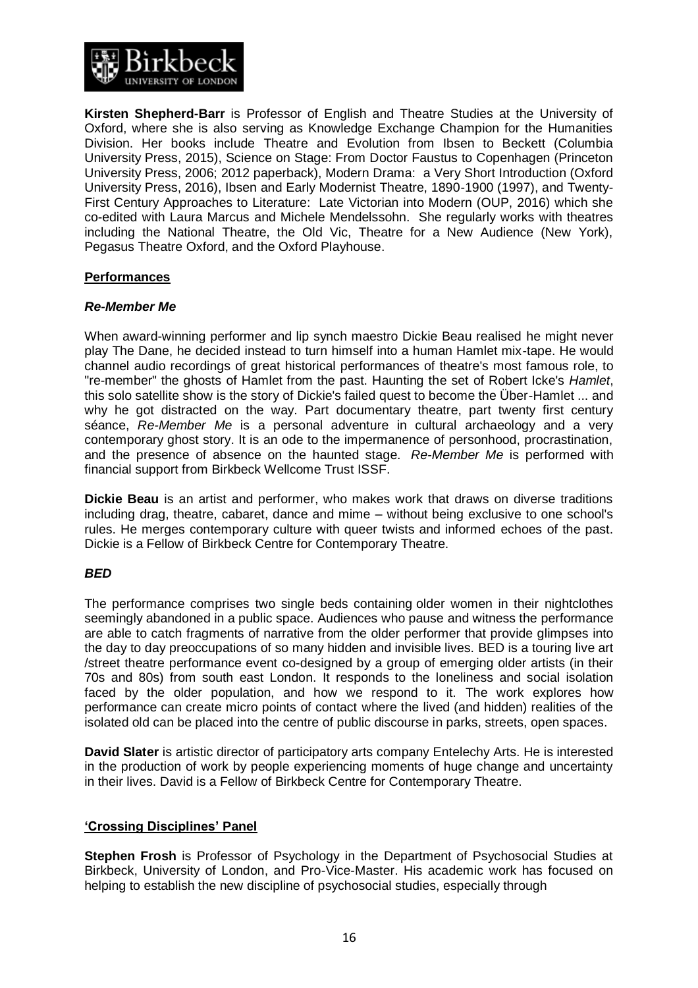

**Kirsten Shepherd-Barr** is Professor of English and Theatre Studies at the University of Oxford, where she is also serving as Knowledge Exchange Champion for the Humanities Division. Her books include Theatre and Evolution from Ibsen to Beckett (Columbia University Press, 2015), Science on Stage: From Doctor Faustus to Copenhagen (Princeton University Press, 2006; 2012 paperback), Modern Drama: a Very Short Introduction (Oxford University Press, 2016), Ibsen and Early Modernist Theatre, 1890-1900 (1997), and Twenty-First Century Approaches to Literature: Late Victorian into Modern (OUP, 2016) which she co-edited with Laura Marcus and Michele Mendelssohn. She regularly works with theatres including the National Theatre, the Old Vic, Theatre for a New Audience (New York), Pegasus Theatre Oxford, and the Oxford Playhouse.

# **Performances**

### *Re-Member Me*

When award-winning performer and lip synch maestro Dickie Beau realised he might never play The Dane, he decided instead to turn himself into a human Hamlet mix-tape. He would channel audio recordings of great historical performances of theatre's most famous role, to "re-member" the ghosts of Hamlet from the past. Haunting the set of Robert Icke's *Hamlet*, this solo satellite show is the story of Dickie's failed quest to become the Über-Hamlet ... and why he got distracted on the way. Part documentary theatre, part twenty first century séance, *Re-Member Me* is a personal adventure in cultural archaeology and a very contemporary ghost story. It is an ode to the impermanence of personhood, procrastination, and the presence of absence on the haunted stage. *Re-Member Me* is performed with financial support from Birkbeck Wellcome Trust ISSF.

**Dickie Beau** is an artist and performer, who makes work that draws on diverse traditions including drag, theatre, cabaret, dance and mime – without being exclusive to one school's rules. He merges contemporary culture with queer twists and informed echoes of the past. Dickie is a Fellow of Birkbeck Centre for Contemporary Theatre.

### *BED*

The performance comprises two single beds containing older women in their nightclothes seemingly abandoned in a public space. Audiences who pause and witness the performance are able to catch fragments of narrative from the older performer that provide glimpses into the day to day preoccupations of so many hidden and invisible lives. BED is a touring live art /street theatre performance event co-designed by a group of emerging older artists (in their 70s and 80s) from south east London. It responds to the loneliness and social isolation faced by the older population, and how we respond to it. The work explores how performance can create micro points of contact where the lived (and hidden) realities of the isolated old can be placed into the centre of public discourse in parks, streets, open spaces.

**David Slater** is artistic director of participatory arts company [Entelechy Arts.](http://www.entelechyarts.org/) He is interested in the production of work by people experiencing moments of huge change and uncertainty in their lives. David is a Fellow of Birkbeck Centre for Contemporary Theatre.

### **'Crossing Disciplines' Panel**

**Stephen Frosh** is Professor of Psychology in the Department of Psychosocial Studies at Birkbeck, University of London, and Pro-Vice-Master. His academic work has focused on helping to establish the new discipline of psychosocial studies, especially through